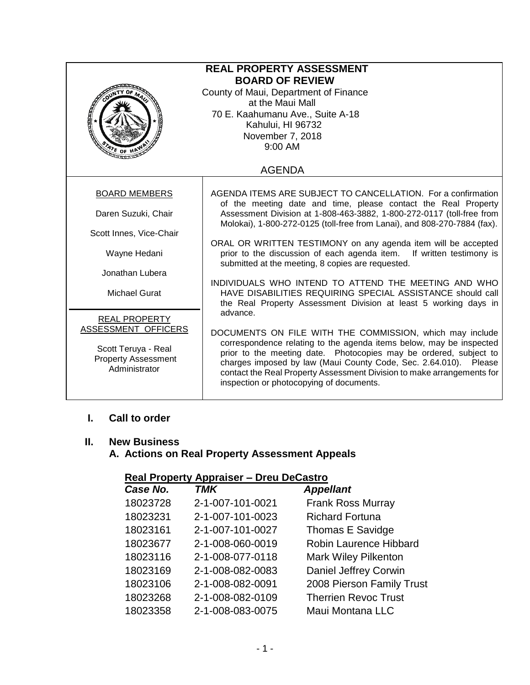| <b>REAL PROPERTY ASSESSMENT</b><br><b>BOARD OF REVIEW</b><br>County of Maui, Department of Finance<br>at the Maui Mall<br>70 E. Kaahumanu Ave., Suite A-18<br>Kahului, HI 96732<br>November 7, 2018<br>$9:00$ AM<br>$476$ OF H |                                                                                                                                                                                                                                                                                                                                                                                                            |  |  |  |
|--------------------------------------------------------------------------------------------------------------------------------------------------------------------------------------------------------------------------------|------------------------------------------------------------------------------------------------------------------------------------------------------------------------------------------------------------------------------------------------------------------------------------------------------------------------------------------------------------------------------------------------------------|--|--|--|
| <b>AGENDA</b>                                                                                                                                                                                                                  |                                                                                                                                                                                                                                                                                                                                                                                                            |  |  |  |
| <b>BOARD MEMBERS</b><br>Daren Suzuki, Chair                                                                                                                                                                                    | AGENDA ITEMS ARE SUBJECT TO CANCELLATION. For a confirmation<br>of the meeting date and time, please contact the Real Property<br>Assessment Division at 1-808-463-3882, 1-800-272-0117 (toll-free from<br>Molokai), 1-800-272-0125 (toll-free from Lanai), and 808-270-7884 (fax).                                                                                                                        |  |  |  |
| Scott Innes, Vice-Chair                                                                                                                                                                                                        |                                                                                                                                                                                                                                                                                                                                                                                                            |  |  |  |
| Wayne Hedani                                                                                                                                                                                                                   | ORAL OR WRITTEN TESTIMONY on any agenda item will be accepted<br>prior to the discussion of each agenda item. If written testimony is<br>submitted at the meeting, 8 copies are requested.                                                                                                                                                                                                                 |  |  |  |
| Jonathan Lubera<br><b>Michael Gurat</b>                                                                                                                                                                                        | INDIVIDUALS WHO INTEND TO ATTEND THE MEETING AND WHO<br>HAVE DISABILITIES REQUIRING SPECIAL ASSISTANCE should call<br>the Real Property Assessment Division at least 5 working days in                                                                                                                                                                                                                     |  |  |  |
| <b>REAL PROPERTY</b><br>ASSESSMENT OFFICERS<br>Scott Teruya - Real<br><b>Property Assessment</b><br>Administrator                                                                                                              | advance.<br>DOCUMENTS ON FILE WITH THE COMMISSION, which may include<br>correspondence relating to the agenda items below, may be inspected<br>prior to the meeting date. Photocopies may be ordered, subject to<br>charges imposed by law (Maui County Code, Sec. 2.64.010). Please<br>contact the Real Property Assessment Division to make arrangements for<br>inspection or photocopying of documents. |  |  |  |

# **I. Call to order**

### **II. New Business**

# **A. Actions on Real Property Assessment Appeals**

## **Real Property Appraiser – Dreu DeCastro**

| Case No. | <b>TMK</b>       | <b>Appellant</b>              |
|----------|------------------|-------------------------------|
| 18023728 | 2-1-007-101-0021 | <b>Frank Ross Murray</b>      |
| 18023231 | 2-1-007-101-0023 | <b>Richard Fortuna</b>        |
| 18023161 | 2-1-007-101-0027 | Thomas E Savidge              |
| 18023677 | 2-1-008-060-0019 | <b>Robin Laurence Hibbard</b> |
| 18023116 | 2-1-008-077-0118 | <b>Mark Wiley Pilkenton</b>   |
| 18023169 | 2-1-008-082-0083 | Daniel Jeffrey Corwin         |
| 18023106 | 2-1-008-082-0091 | 2008 Pierson Family Trust     |
| 18023268 | 2-1-008-082-0109 | <b>Therrien Revoc Trust</b>   |
| 18023358 | 2-1-008-083-0075 | Maui Montana LLC              |
|          |                  |                               |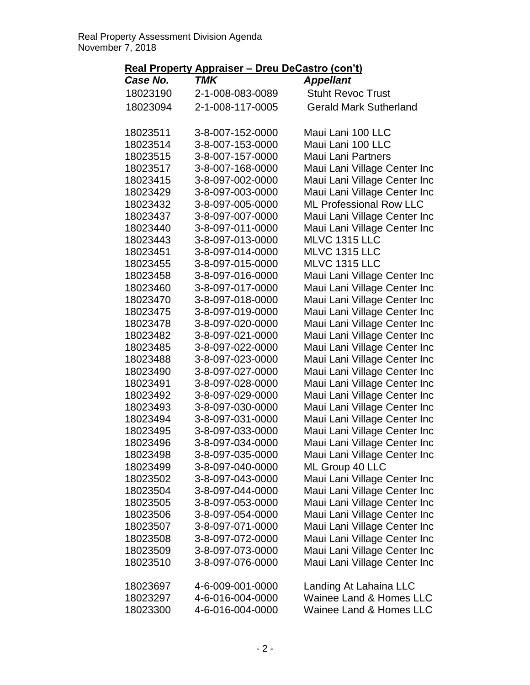### **Real Property Appraiser – Dreu DeCastro (con't)**

| Case No. | TMK              | <b>Appellant</b>                   |
|----------|------------------|------------------------------------|
| 18023190 | 2-1-008-083-0089 | <b>Stuht Revoc Trust</b>           |
| 18023094 | 2-1-008-117-0005 | <b>Gerald Mark Sutherland</b>      |
| 18023511 | 3-8-007-152-0000 | Maui Lani 100 LLC                  |
| 18023514 | 3-8-007-153-0000 | Maui Lani 100 LLC                  |
| 18023515 | 3-8-007-157-0000 | <b>Maui Lani Partners</b>          |
| 18023517 | 3-8-007-168-0000 | Maui Lani Village Center Inc       |
| 18023415 | 3-8-097-002-0000 | Maui Lani Village Center Inc       |
| 18023429 | 3-8-097-003-0000 | Maui Lani Village Center Inc       |
| 18023432 | 3-8-097-005-0000 | <b>ML Professional Row LLC</b>     |
| 18023437 | 3-8-097-007-0000 | Maui Lani Village Center Inc       |
| 18023440 | 3-8-097-011-0000 | Maui Lani Village Center Inc       |
| 18023443 | 3-8-097-013-0000 | MLVC 1315 LLC                      |
| 18023451 | 3-8-097-014-0000 | MLVC 1315 LLC                      |
| 18023455 | 3-8-097-015-0000 | MLVC 1315 LLC                      |
| 18023458 | 3-8-097-016-0000 | Maui Lani Village Center Inc       |
| 18023460 | 3-8-097-017-0000 | Maui Lani Village Center Inc       |
| 18023470 | 3-8-097-018-0000 | Maui Lani Village Center Inc       |
| 18023475 | 3-8-097-019-0000 | Maui Lani Village Center Inc       |
| 18023478 | 3-8-097-020-0000 | Maui Lani Village Center Inc       |
| 18023482 | 3-8-097-021-0000 | Maui Lani Village Center Inc       |
| 18023485 | 3-8-097-022-0000 | Maui Lani Village Center Inc       |
| 18023488 | 3-8-097-023-0000 | Maui Lani Village Center Inc       |
| 18023490 | 3-8-097-027-0000 | Maui Lani Village Center Inc       |
| 18023491 | 3-8-097-028-0000 | Maui Lani Village Center Inc       |
| 18023492 | 3-8-097-029-0000 | Maui Lani Village Center Inc       |
| 18023493 | 3-8-097-030-0000 | Maui Lani Village Center Inc       |
| 18023494 | 3-8-097-031-0000 | Maui Lani Village Center Inc       |
| 18023495 | 3-8-097-033-0000 | Maui Lani Village Center Inc       |
| 18023496 | 3-8-097-034-0000 | Maui Lani Village Center Inc       |
| 18023498 | 3-8-097-035-0000 | Maui Lani Village Center Inc       |
| 18023499 | 3-8-097-040-0000 | ML Group 40 LLC                    |
| 18023502 | 3-8-097-043-0000 | Maui Lani Village Center Inc       |
| 18023504 | 3-8-097-044-0000 | Maui Lani Village Center Inc       |
| 18023505 | 3-8-097-053-0000 | Maui Lani Village Center Inc       |
| 18023506 | 3-8-097-054-0000 | Maui Lani Village Center Inc       |
| 18023507 | 3-8-097-071-0000 | Maui Lani Village Center Inc       |
| 18023508 | 3-8-097-072-0000 | Maui Lani Village Center Inc       |
| 18023509 | 3-8-097-073-0000 | Maui Lani Village Center Inc       |
| 18023510 | 3-8-097-076-0000 | Maui Lani Village Center Inc       |
| 18023697 | 4-6-009-001-0000 | Landing At Lahaina LLC             |
| 18023297 | 4-6-016-004-0000 | <b>Wainee Land &amp; Homes LLC</b> |
| 18023300 | 4-6-016-004-0000 | <b>Wainee Land &amp; Homes LLC</b> |